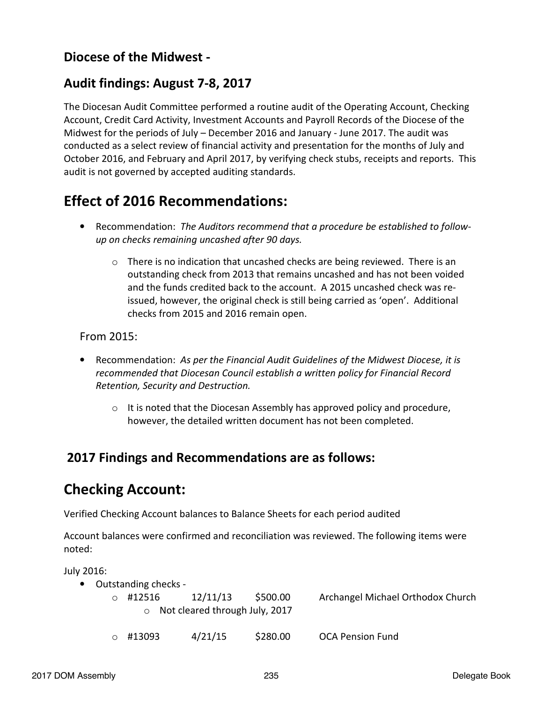### **Diocese of the Midwest -**

### **Audit findings: August 7-8, 2017**

The Diocesan Audit Committee performed a routine audit of the Operating Account, Checking Account, Credit Card Activity, Investment Accounts and Payroll Records of the Diocese of the Midwest for the periods of July – December 2016 and January - June 2017. The audit was conducted as a select review of financial activity and presentation for the months of July and October 2016, and February and April 2017, by verifying check stubs, receipts and reports. This audit is not governed by accepted auditing standards.

## **Effect of 2016 Recommendations:**

- Recommendation: *The Auditors recommend that a procedure be established to followup on checks remaining uncashed after 90 days.* 
	- $\circ$  There is no indication that uncashed checks are being reviewed. There is an outstanding check from 2013 that remains uncashed and has not been voided and the funds credited back to the account. A 2015 uncashed check was reissued, however, the original check is still being carried as 'open'. Additional checks from 2015 and 2016 remain open.

From 2015:

- Recommendation: *As per the Financial Audit Guidelines of the Midwest Diocese, it is recommended that Diocesan Council establish a written policy for Financial Record Retention, Security and Destruction.* 
	- $\circ$  It is noted that the Diocesan Assembly has approved policy and procedure, however, the detailed written document has not been completed.

### **2017 Findings and Recommendations are as follows:**

## **Checking Account:**

Verified Checking Account balances to Balance Sheets for each period audited

Account balances were confirmed and reconciliation was reviewed. The following items were noted:

July 2016:

| • Outstanding checks -                 |          |          |                                   |
|----------------------------------------|----------|----------|-----------------------------------|
| #12516<br>$\cap$                       | 12/11/13 | \$500.00 | Archangel Michael Orthodox Church |
| $\circ$ Not cleared through July, 2017 |          |          |                                   |
| #13093                                 | 4/21/15  | \$280.00 | <b>OCA Pension Fund</b>           |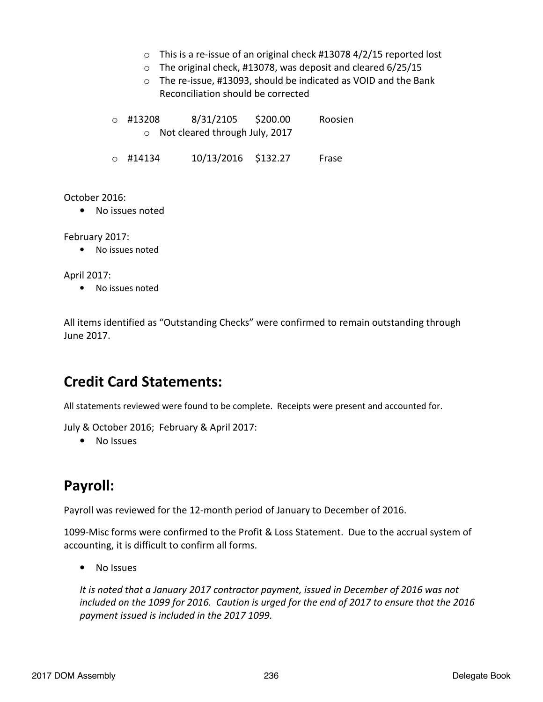- o This is a re-issue of an original check #13078 4/2/15 reported lost
- o The original check, #13078, was deposit and cleared 6/25/15
- o The re-issue, #13093, should be indicated as VOID and the Bank Reconciliation should be corrected

o #13208 8/31/2105 \$200.00 Roosien o Not cleared through July, 2017

o #14134 10/13/2016 \$132.27 Frase

#### October 2016:

• No issues noted

February 2017:

• No issues noted

#### April 2017:

• No issues noted

All items identified as "Outstanding Checks" were confirmed to remain outstanding through June 2017.

## **Credit Card Statements:**

All statements reviewed were found to be complete. Receipts were present and accounted for.

July & October 2016; February & April 2017:

• No Issues

# **Payroll:**

Payroll was reviewed for the 12-month period of January to December of 2016.

1099-Misc forms were confirmed to the Profit & Loss Statement. Due to the accrual system of accounting, it is difficult to confirm all forms.

• No Issues

*It is noted that a January 2017 contractor payment, issued in December of 2016 was not included on the 1099 for 2016. Caution is urged for the end of 2017 to ensure that the 2016 payment issued is included in the 2017 1099.*